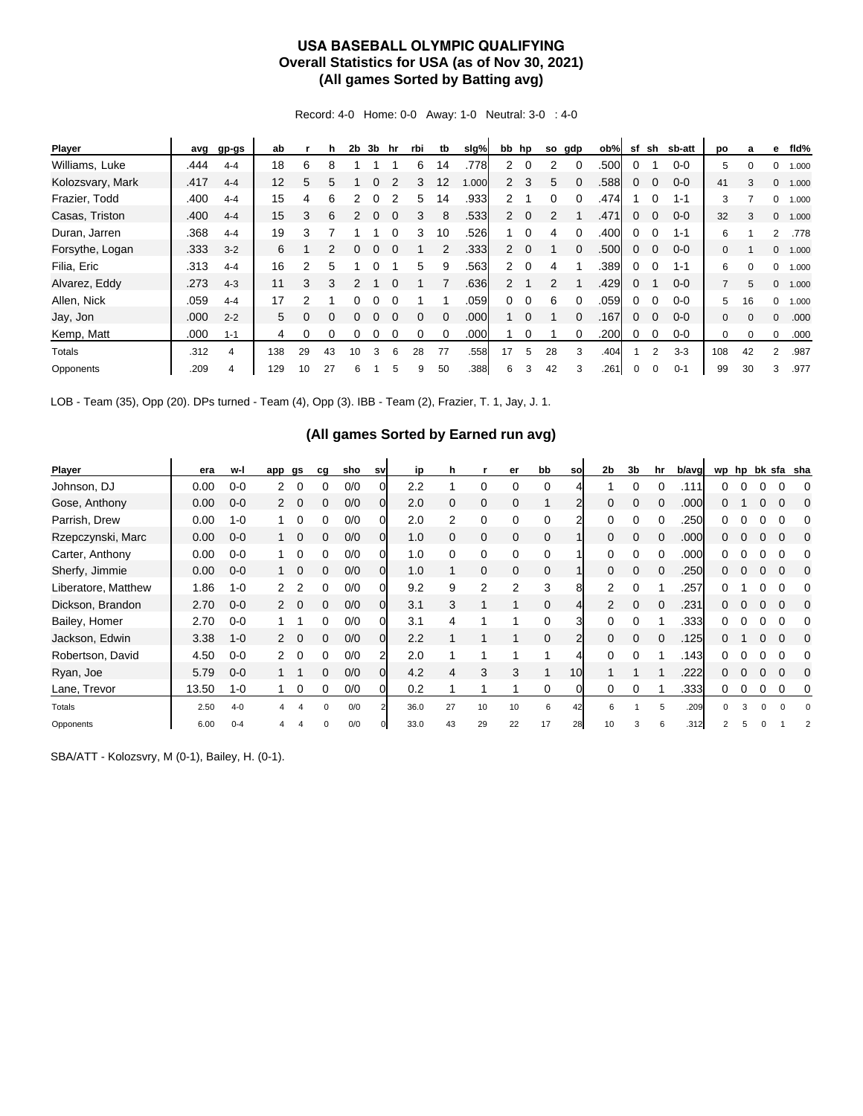## **USA BASEBALL OLYMPIC QUALIFYING Overall Statistics for USA (as of Nov 30, 2021) (All games Sorted by Batting avg)**

Record: 4-0 Home: 0-0 Away: 1-0 Neutral: 3-0 : 4-0

| Player           | avg  | gp-gs   | ab  |    | h        | 2b       | 3b | hr | rbi | tb       | slg%  |                      | bb hp    |    | so gdp   | ob%  | sf | sh       | sb-att  | po             | a        | е            | fld%  |
|------------------|------|---------|-----|----|----------|----------|----|----|-----|----------|-------|----------------------|----------|----|----------|------|----|----------|---------|----------------|----------|--------------|-------|
| Williams, Luke   | .444 | $4 - 4$ | 18  | 6  | 8        |          |    |    | 6   | 14       | .778  | $\overline{2}$       | $\Omega$ | 2  |          | .500 | 0  |          | $0 - 0$ | 5              |          | 0            | 1.000 |
| Kolozsvary, Mark | .417 | $4 - 4$ | 12  | 5  | 5        |          | 0  |    | 3   | 12       | 1.000 | $\overline{2}$       | 3        | 5  | $\Omega$ | .588 | 0  | $\Omega$ | $0 - 0$ | 41             | 3        | $\mathbf{0}$ | 1.000 |
| Frazier, Todd    | .400 | $4 - 4$ | 15  | 4  | 6        |          | 0  |    | 5.  | 14       | .933  | $\mathbf{2}^{\circ}$ |          | 0  |          | .474 |    |          | $1 - 1$ | 3              |          | 0            | 1.000 |
| Casas, Triston   | .400 | $4 - 4$ | 15  | 3  | 6        |          |    |    | 3   | 8        | .533  | $\overline{2}$       | $\Omega$ | 2  |          | .471 | 0  | $\Omega$ | $0 - 0$ | 32             | 3        | $\mathbf{0}$ | 1.000 |
| Duran, Jarren    | .368 | $4 - 4$ | 19  | 3  |          |          |    |    | 3   | 10       | .526  |                      | $\Omega$ | 4  |          | .400 | 0  | $\Omega$ | $1 - 1$ | 6              |          | 2            | .778  |
| Forsythe, Logan  | .333 | $3 - 2$ | 6   |    | 2        | 0        | 0  |    |     | 2        | .333  | $\overline{2}$       | $\Omega$ |    | $\Omega$ | .500 | 0  | $\Omega$ | $0 - 0$ | $\mathbf{0}$   |          | $\mathbf{0}$ | 1.000 |
| Filia, Eric      | .313 | $4 - 4$ | 16  | 2  | 5        |          |    |    | 5.  | 9        | .563  | $\mathbf{2}$         | $\Omega$ | 4  |          | .389 | 0  |          | $1 - 1$ | 6              |          | $\Omega$     | 1.000 |
| Alvarez, Eddy    | .273 | $4 - 3$ | 11  | 3  | 3        |          |    |    |     |          | .636  | $\overline{2}$       |          | 2  |          | .429 | 0  |          | $0 - 0$ | $\overline{7}$ | 5        | $\Omega$     | 1.000 |
| Allen, Nick      | .059 | $4 - 4$ | 17  | 2  |          | 0        | 0  |    |     |          | .059  | 0                    | $\Omega$ | 6  | $\Omega$ | .059 | 0  |          | $0 - 0$ | 5              | 16       | $\Omega$     | 1.000 |
| Jay, Jon         | .000 | $2 - 2$ | 5   | 0  | $\Omega$ | $\Omega$ | 0  |    | 0   | $\Omega$ | .000  |                      | $\Omega$ |    |          | .167 | 0  | $\Omega$ | $0 - 0$ | $\mathbf{0}$   | $\Omega$ | $\mathbf{0}$ | .000  |
| Kemp, Matt       | .000 | $1 - 1$ | 4   | 0  | ∩        |          |    |    |     |          | .000  |                      |          |    |          | .200 | 0  |          | $0 - 0$ | 0              | $\Omega$ | 0            | .000  |
| Totals           | .312 | 4       | 138 | 29 | 43       | 10       | 3  | 6  | 28  | 77       | .558  | 17                   | 5        | 28 | 3        | .404 |    | 2        | $3 - 3$ | 108            | 42       | 2            | .987  |
| Opponents        | .209 | 4       | 129 | 10 | 27       | 6        |    | 5. | 9   | 50       | .388  | 6                    | 3        | 42 |          | .261 | 0  |          | $0 - 1$ | 99             | 30       | 3            | .977  |

LOB - Team (35), Opp (20). DPs turned - Team (4), Opp (3). IBB - Team (2), Frazier, T. 1, Jay, J. 1.

## **(All games Sorted by Earned run avg)**

| Player              | era   | w-l     | app                  | gs       | cq       | sho | sv           | ip   | h  |              | er       | bb       | sol             | 2 <sub>b</sub> | 3 <sub>b</sub> | hr | b/avg | wp | hp |   | bk sfa sha |
|---------------------|-------|---------|----------------------|----------|----------|-----|--------------|------|----|--------------|----------|----------|-----------------|----------------|----------------|----|-------|----|----|---|------------|
| Johnson, DJ         | 0.00  | $0 - 0$ |                      |          |          | 0/0 |              | 2.2  |    | 0            | $\Omega$ |          |                 |                |                |    | .111  |    |    |   |            |
| Gose, Anthony       | 0.00  | $0 - 0$ | $\mathbf{2}^{\circ}$ | $\Omega$ | 0        | 0/0 | $\Omega$     | 2.0  | 0  | $\mathbf 0$  | 0        |          |                 | 0              | $\Omega$       | 0  | .000  | O. |    |   |            |
| Parrish, Drew       | 0.00  | $1 - 0$ |                      |          |          | 0/0 | 0            | 2.0  | 2  | 0            | 0        | $\Omega$ | っ               |                |                |    | .250  |    |    |   |            |
| Rzepczynski, Marc   | 0.00  | $0 - 0$ |                      | $\Omega$ | 0        | 0/0 | <sub>O</sub> | 1.0  | 0  | $\mathbf{0}$ | 0        |          |                 |                | 0              |    | .000  |    |    |   |            |
| Carter, Anthony     | 0.00  | $0 - 0$ |                      | 0        | o        | 0/0 | ΩI           | 1.0  | 0  | 0            | 0        | 0        |                 |                | ი              |    | .000  |    |    |   |            |
| Sherfy, Jimmie      | 0.00  | $0 - 0$ |                      | $\Omega$ | 0        | 0/0 | <sub>O</sub> | 1.0  |    | $\mathbf{0}$ | 0        | $\Omega$ |                 | $\Omega$       | 0              |    | .250  | 0  |    |   |            |
| Liberatore, Matthew | 1.86  | $1 - 0$ |                      |          | 0        | 0/0 |              | 9.2  | 9  | 2            | 2        | 3        | 8               | 2              |                |    | .257  |    |    |   |            |
| Dickson, Brandon    | 2.70  | $0 - 0$ | $\mathcal{P}$        | $\Omega$ | 0        | 0/0 | <sub>O</sub> | 3.1  | 3  |              |          | $\Omega$ | 4               | $\mathcal{P}$  | $\Omega$       | 0  | .231  |    |    |   |            |
| Bailey, Homer       | 2.70  | $0 - 0$ |                      |          |          | 0/0 | 0            | 3.1  | 4  |              |          | $\Omega$ | 3               | <sup>0</sup>   |                |    | .333  |    |    |   |            |
| Jackson, Edwin      | 3.38  | $1 - 0$ |                      |          | 0        | 0/0 | <sub>O</sub> | 2.2  |    |              |          | $\Omega$ |                 |                | $\Omega$       |    | .125  |    |    |   |            |
| Robertson, David    | 4.50  | $0 - 0$ | $\mathcal{P}$        | $\Omega$ | 0        | 0/0 | 2            | 2.0  |    |              |          |          |                 | 0              |                |    | .143  |    |    |   |            |
| Ryan, Joe           | 5.79  | $0 - 0$ |                      |          | 0        | 0/0 | 0l           | 4.2  | 4  | 3            | 3        |          | 10 <sup>1</sup> |                |                |    | .222  | O. |    |   |            |
| Lane, Trevor        | 13.50 | $1 - 0$ |                      | 0        | 0        | 0/0 | OI           | 0.2  |    |              |          | $\Omega$ | O               | 0              | 0              |    | .333  | 0  |    | 0 | 0          |
| Totals              | 2.50  | $4 - 0$ |                      |          | $\Omega$ | 0/0 |              | 36.0 | 27 | 10           | 10       |          | 42              | 6              |                | 5  | .209  |    |    |   |            |
| Opponents           | 6.00  | $0 - 4$ |                      |          | O        | 0/0 |              | 33.0 | 43 | 29           | 22       | 17       | 28              | 10             |                | 6  | .312  |    |    |   |            |

SBA/ATT - Kolozsvry, M (0-1), Bailey, H. (0-1).